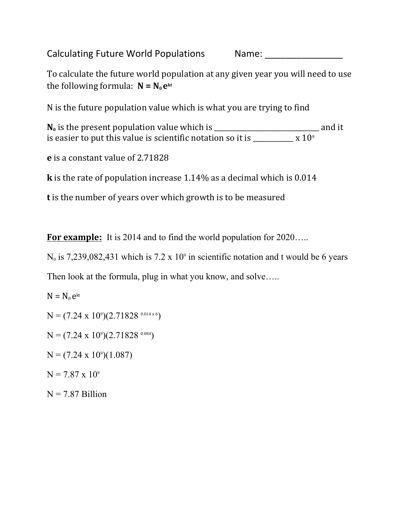Calculating Future World Populations Name: Name:

To calculate the future world population at any given year you will need to use the following formula:  $N = N_0 e^{kt}$ 

N is the future population value which is what you are trying to find

**N0** is the present population value which is \_\_\_\_\_\_\_\_\_\_\_\_\_\_\_\_\_\_\_\_\_\_\_\_\_\_\_\_\_\_\_ and it is easier to put this value is scientific notation so it is  $\frac{1}{\sqrt{1 - \frac{1}{\sqrt{1 - \frac{1}{\sqrt{1 - \frac{1}{\sqrt{1 - \frac{1}{\sqrt{1 - \frac{1}{\sqrt{1 - \frac{1}{\sqrt{1 - \frac{1}{\sqrt{1 - \frac{1}{\sqrt{1 - \frac{1}{\sqrt{1 - \frac{1}{\sqrt{1 - \frac{1}{\sqrt{1 - \frac{1}{\sqrt{1 - \frac{1}{\sqrt{1 - \frac{1}{\sqrt{1 - \frac{1}{\sqrt{1 -$ 

**e** is a constant value of 2.71828

**k** is the rate of population increase 1.14% as a decimal which is 0.014

**t** is the number of years over which growth is to be measured

**For example:** It is 2014 and to find the world population for 2020…..

 $N_0$  is 7,239,082,431 which is 7.2 x 10<sup>o</sup> in scientific notation and t would be 6 years

Then look at the formula, plug in what you know, and solve.....

N = N0 e kt N = (7.24 x 109)(2.71828 0.014 x 6) N = (7.24 x 109)(2.71828 0.084) N = (7.24 x 109)(1.087) N = 7.87 x 10<sup>9</sup> N = 7.87 Billion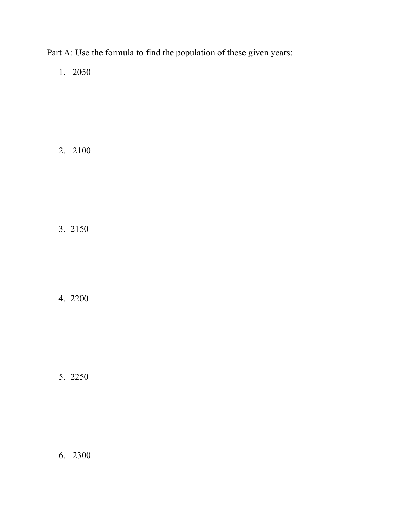Part A: Use the formula to find the population of these given years:

1. 2050

2. 2100

3. 2150

4. 2200

5. 2250

6. 2300